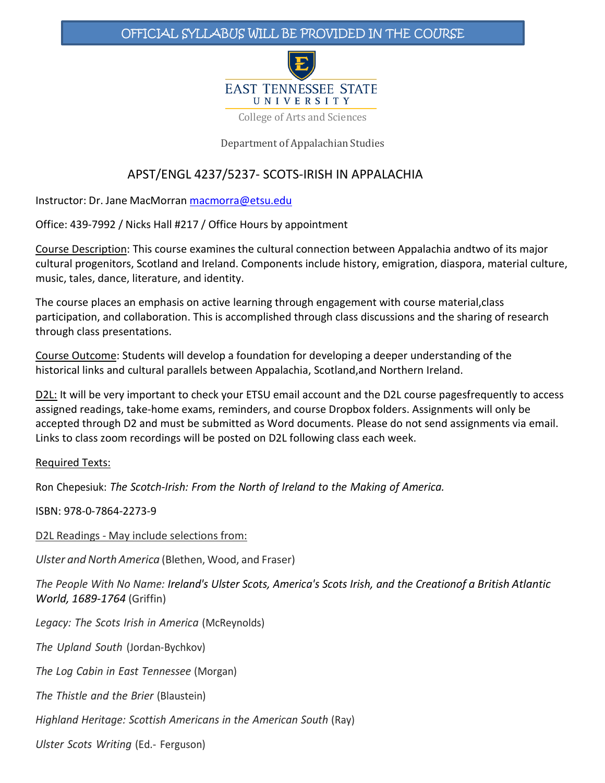## OFFICIAL SYLLABUS WILL BE PROVIDED IN THE COURSE



College of Arts and Sciences

Department of Appalachian Studies

## APST/ENGL 4237/5237- SCOTS-IRISH IN APPALACHIA

Instructor: Dr. Jane MacMorran [macmorra@etsu.edu](mailto:macmorra@etsu.edu)

Office: 439-7992 / Nicks Hall #217 / Office Hours by appointment

Course Description: This course examines the cultural connection between Appalachia andtwo of its major cultural progenitors, Scotland and Ireland. Components include history, emigration, diaspora, material culture, music, tales, dance, literature, and identity.

The course places an emphasis on active learning through engagement with course material,class participation, and collaboration. This is accomplished through class discussions and the sharing of research through class presentations.

Course Outcome: Students will develop a foundation for developing a deeper understanding of the historical links and cultural parallels between Appalachia, Scotland,and Northern Ireland.

D2L: It will be very important to check your ETSU email account and the D2L course pagesfrequently to access assigned readings, take-home exams, reminders, and course Dropbox folders. Assignments will only be accepted through D2 and must be submitted as Word documents. Please do not send assignments via email. Links to class zoom recordings will be posted on D2L following class each week.

#### Required Texts:

Ron Chepesiuk: *The Scotch-Irish: From the North of Ireland to the Making of America.*

ISBN: 978-0-7864-2273-9

D2L Readings - May include selections from:

*Ulster and North America (Blethen, Wood, and Fraser)* 

The People With No Name: Ireland's Ulster Scots, America's Scots Irish, and the Creationof a British Atlantic *World, 1689-1764* (Griffin)

*Legacy: The Scots Irish in America* (McReynolds)

*The Upland South* (Jordan-Bychkov)

*The Log Cabin in East Tennessee* (Morgan)

*The Thistle and the Brier* (Blaustein)

*Highland Heritage: Scottish Americans in the American South* (Ray)

*Ulster Scots Writing* (Ed.- Ferguson)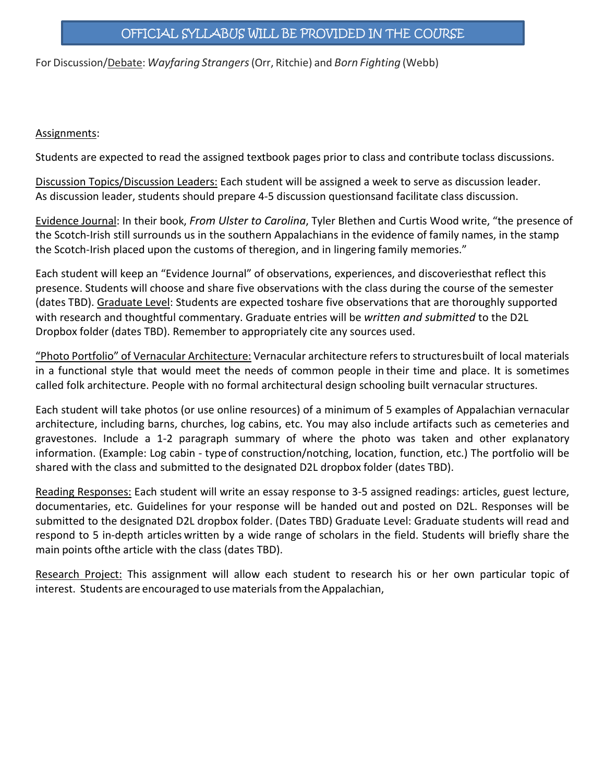For Discussion/Debate: *Wayfaring Strangers*(Orr, Ritchie) and *Born Fighting* (Webb)

### Assignments:

Students are expected to read the assigned textbook pages prior to class and contribute toclass discussions.

Discussion Topics/Discussion Leaders: Each student will be assigned a week to serve as discussion leader. As discussion leader, students should prepare 4-5 discussion questionsand facilitate class discussion.

Evidence Journal: In their book, *From Ulster to Carolina*, Tyler Blethen and Curtis Wood write, "the presence of the Scotch-Irish still surrounds us in the southern Appalachians in the evidence of family names, in the stamp the Scotch-Irish placed upon the customs of theregion, and in lingering family memories."

Each student will keep an "Evidence Journal" of observations, experiences, and discoveriesthat reflect this presence. Students will choose and share five observations with the class during the course of the semester (dates TBD). Graduate Level: Students are expected toshare five observations that are thoroughly supported with research and thoughtful commentary. Graduate entries will be *written and submitted* to the D2L Dropbox folder (dates TBD). Remember to appropriately cite any sources used.

"Photo Portfolio" of Vernacular Architecture: Vernacular architecture refersto structuresbuilt of local materials in a functional style that would meet the needs of common people in their time and place. It is sometimes called folk architecture. People with no formal architectural design schooling built vernacular structures.

Each student will take photos (or use online resources) of a minimum of 5 examples of Appalachian vernacular architecture, including barns, churches, log cabins, etc. You may also include artifacts such as cemeteries and gravestones. Include a 1-2 paragraph summary of where the photo was taken and other explanatory information. (Example: Log cabin - typeof construction/notching, location, function, etc.) The portfolio will be shared with the class and submitted to the designated D2L dropbox folder (dates TBD).

Reading Responses: Each student will write an essay response to 3-5 assigned readings: articles, guest lecture, documentaries, etc. Guidelines for your response will be handed out and posted on D2L. Responses will be submitted to the designated D2L dropbox folder. (Dates TBD) Graduate Level: Graduate students will read and respond to 5 in-depth articles written by a wide range of scholars in the field. Students will briefly share the main points ofthe article with the class (dates TBD).

Research Project: This assignment will allow each student to research his or her own particular topic of interest. Students are encouraged to use materials from the Appalachian,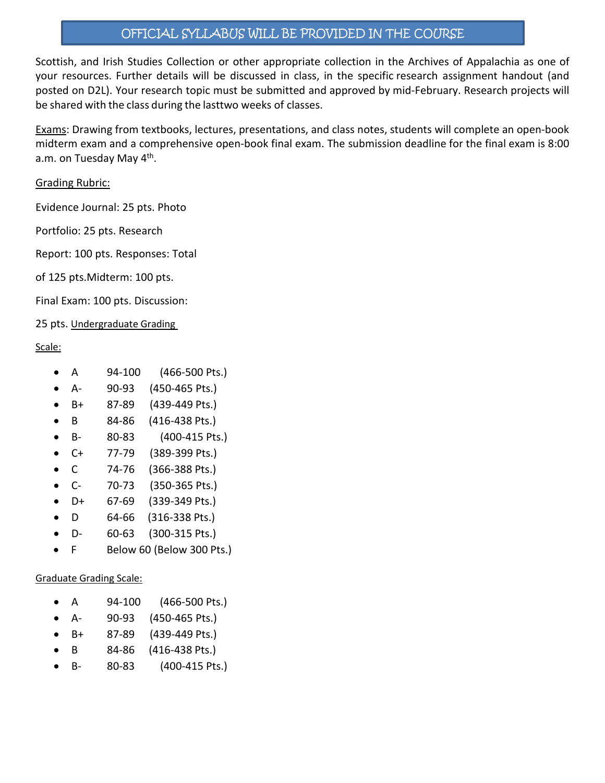# OFFICIAL SYLLABUS WILL BE PROVIDED IN THE COURSE

Scottish, and Irish Studies Collection or other appropriate collection in the Archives of Appalachia as one of your resources. Further details will be discussed in class, in the specific research assignment handout (and posted on D2L). Your research topic must be submitted and approved by mid-February. Research projects will be shared with the class during the lasttwo weeks of classes.

Exams: Drawing from textbooks, lectures, presentations, and class notes, students will complete an open-book midterm exam and a comprehensive open-book final exam. The submission deadline for the final exam is 8:00 a.m. on Tuesday May 4<sup>th</sup>.

### Grading Rubric:

Evidence Journal: 25 pts. Photo

Portfolio: 25 pts. Research

Report: 100 pts. Responses: Total

of 125 pts.Midterm: 100 pts.

Final Exam: 100 pts. Discussion:

25 pts. Undergraduate Grading

### Scale:

- A 94-100 (466-500 Pts.)
- A- 90-93 (450-465 Pts.)
- B+ 87-89 (439-449 Pts.)
- B 84-86 (416-438 Pts.)
- B- 80-83 (400-415 Pts.)
- C+ 77-79 (389-399 Pts.)
- C 74-76 (366-388 Pts.)
- C- 70-73 (350-365 Pts.)
- D+ 67-69 (339-349 Pts.)
- D 64-66 (316-338 Pts.)
- D- 60-63 (300-315 Pts.)
- F Below 60 (Below 300 Pts.)

### Graduate Grading Scale:

- A 94-100 (466-500 Pts.)
- A- 90-93 (450-465 Pts.)
- B+ 87-89 (439-449 Pts.)
- B 84-86 (416-438 Pts.)
- B- 80-83 (400-415 Pts.)